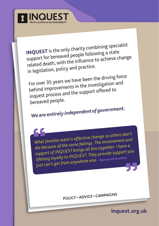

**INQUEST** is the only charity combining specialist support for bereaved people following a state related death, with the influence to achieve change in legislation, policy and practice.

For over 35 years we have been the driving force behind improvements in the investigation an<sup>d</sup> inquest process and the support offered to bereaved people.

# *We are entirely independent of government.*

"What families want is effective chairs and<br>die because of the same failings. The involvement and<br>die because of the same failings all this together. I have a *What families want is effective change so others don't support of INQUEST brings all this together. I have a lifelong loyalty to INQUEST. They provide support you just can't get from anywhere else –* Bereaved brother "

POLICY · ADVICE · CAMPAIGNS

**inquest.org.uk**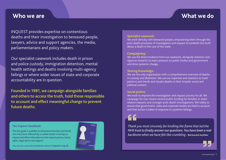## **Who we are What we do**

INQUEST provides expertise on contentious deaths and their investigation to bereaved people, lawyers, advice and support agencies, the media, parliamentarians and policy makers.

Our specialist casework includes death in prison and police custody, immigration detention, mental health settings and deaths involving multi-agency failings or where wider issues of state and corporate accountability are in question.

Founded in 1981, we campaign alongside families and others to access the truth, hold those responsible to account and effect meaningful change to prevent future deaths.

### **The Inquest Handbook**

This free guide is available to all bereaved families and friends who have been affected by a sudden death involving an inquest and offers information on the inquest process, family rights, legal advice and support.

**You can also access the handbook online at inquest.org.uk**



#### **Specialist casework:**

We work directly with bereaved people, empowering them through the post-death processes of investigation and inquest to establish the truth about a death in the care of the state.

#### **Campaigning:**

We use the direct evidence from our casework, alongside statistics and rigorous research, to exert pressure on public bodies and government and drive systemic change.

## **Sharing knowledge:**

We are the only organisation with a comprehensive overview of deaths in custody and detention. We use our expertise and statistics to track patterns and trends and situate deaths in their broader social and political context.

## **Social justice:**

We work to improve the investigation and inquest process for all. We campaign for non means-tested public funding for families in staterelated inquests and stronger post-death investigations. We lobby to ensure that government, state and corporate bodies are held to account and that action is taken in response to systemic failings.

 $\begin{array}{l} \begin{array}{l} \text{\Large $\blacktriangle$} \end{array} \end{array}$  Thank you most sincerely for kindling the flame that led the<br>NHS trust to finally answer our questions. You have been a real *Thank you most sincerely for kindling the flame that led the backbone when we have felt like crumbling –* Bereaved mother

**THE**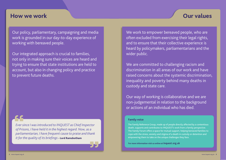## **How we work Our values**

Our policy, parliamentary, campaigning and media work is grounded in our day-to-day experience of working with bereaved people.

Our integrated approach is crucial to families, not only in making sure their voices are heard and trying to ensure that state institutions are held to account, but also in changing policy and practice to prevent future deaths.

of Drisons I have hold it i produced with the help of frequent cause to project and thank parliamentarian, I have frequent cause to praise and thank *it for the quality of its briefings - Lord Ramsbotham* Ever si<br>Ever si<br>of Pris *Ever since I was introduced to INQUEST as Chief Inspector of Prisons, I have held it in the highest regard. Now, as a* 

"

We work to empower bereaved people, who are often excluded from exercising their legal rights, and to ensure that their collective experience is heard by policymakers, parliamentarians and the wider public.

We are committed to challenging racism and discrimination in all areas of our work and have raised concerns about the systemic discrimination, inequality and poverty behind many deaths in custody and state care.

Our way of working is collaborative and we are non-judgemental in relation to the background or actions of an individual who has died.

### **Family voice**

death, supports and contributes to INQUEST's work from a family perspective. Produced with the help of the help of the help of the help of the help of the mail in custody of the set of this customer of the set of this customer or determines to cope with the stress, anxiety and stigma of a death in custody or detention and empowering them to take on the unique challenges they face. It is included the state on communication on communication on communication on communication on communication on the unique challenges they have a state of the st The Family Reference Group, made up of people directly affected by a contentious The Family Forum offers a space for mutual support, helping bereaved families to

with officials, dealing with media interest and mounting a campaign. **For more information visit us online at inquest.org.uk**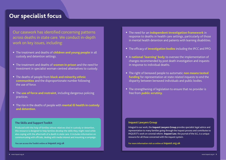## **Our specialist focus**

Our casework has identified concerning patterns across deaths in state care. We conduct in-depth work on key issues, including:

- The treatment and deaths of **children and young people** in all custody and detention settings.
- The treatment and deaths of **women in prison** and the need for investment in specialist woman-centred alternatives to custody.
- The deaths of people from **black and minority ethnic communities** and the disproportionate number following the use of force.
- The **use of force and restraint**, including dangerous policing practices.
- The rise in the deaths of people with **mental ill health in custody and detention**.

### **The Skills and Support Toolkit**

Produced with the help of families whose relatives died in custody or detention, this resource is designed to help families develop the skills they might need while also coping with the aftermath of a death in state care. It includes information on communicating with officials, dealing with media interest and mounting a campaign.

**You can access the Toolkit online at inquest.org.uk**

- The need for an **independent investigation framework** in response to deaths in health care settings, particularly of those in mental health detention and patients with learning disabilities.
- The efficacy of **investigation bodies** including the IPCC and PPO.
- A **national 'learning' body** to oversee the implementation of changes recommended by post death investigation and inquests in response to individual deaths.
- The right of bereaved people to automatic **non means tested funding** for representation at state related inquests to end the disparity between bereaved individuals and public bodies.
- The strengthening of legislation to ensure that no provider is free from **public scrutiny**.

#### **Inquest Lawyers Group**

Integral to our work, the **Inquest Lawyers Group** provides specialist legal advice and representation to many families going through the inquest process and contributes to INQUEST's work on coronial reform. **Inquest Law**, the journal of the ILG, is a unique resource for all those concerned with the inquest system.

**For more information visit us online at inquest.org.uk**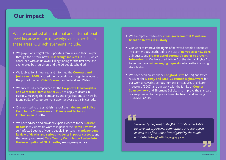## **Our impact**

We are consulted at a national and international level because of our knowledge and expertise in these areas. Our achievements include:

- We played an integral role supporting families and their lawyers through the historic new **Hillsborough inquests** in 2016, which concluded with an unlawful killing finding for the first time and exonerated both survivors and the 96 people who died.
- We lobbied for, influenced and informed the **Coroners and Justice Act 2009**, and led the successful campaign to safeguard the post of the first **Chief Coroner** for England and Wales.
- We successfully campaigned for the **Corporate Manslaughter and Corporate Homicide Act 2007** to apply to deaths in custody, meaning that companies and organisations can now be found guilty of corporate manslaughter over deaths in custody.
- Our work led to the establishment of the **Independent Police Complaints Commission** and **Prisons and Probation Ombudsman** in 2004.
- We have advised and provided expert evidence to the **Corston Report** into vulnerable women in prison; the **Harris Review** on self-inflicted deaths of young people in prison; the **Independent Review of deaths and serious incidents in police custody**; and the cross-government **Care Quality Commission Review into the investigation of NHS deaths**, among many others.
- We are represented on the **cross-governmental Ministerial Board on Deaths in Custody**.
- Our work to improve the rights of bereaved people at inquests into contentious deaths led to the use of **narrative conclusions** at inquests and **greater use of coroners' reports to prevent future deaths**. We have used Article 2 of the Human Rights Act to secure more **wide-ranging inquests** into deaths involving state bodies.
- We have been awarded the **Longford Prize** (2009) and twice received the **Liberty and JUSTICE Human Rights Award** for our work uncovering serious human rights abuses of children in custody (2007) and our work with the family of **Connor Sparrowhawk** and Bindmans Solicitors to improve the standard of care provided for people with mental health and learning disabilities (2016).

" *We award (the prize) to INQUEST for its remarkable perseverance, personal commitment and courage in an area too often under-investigated by the public authorities –* Longford Prize judging panel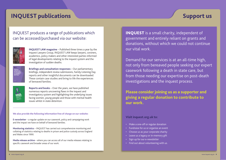## **Support us**

## **INQUEST publications**

## INQUEST produces a range of publications which can be accessed/purchased via our website:



**INQUEST LAW magazine** – Published three times a year by the Inquest Lawyers Group, INQUEST LAW keeps lawyers, coroners, academics, policy makers and other interested parties informed of legal developments relating to the inquest system and the investigation of sudden deaths.



**Briefings and consultation responses** – Our parliamentary briefings, independent review submissions, Family Listening Day reports and other insightful documents can be downloaded. These contain case studies and bring to life the experiences of bereaved families.



**Reports and books** – Over the years, we have published numerous reports uncovering flaws in the inquest and investigatory system and highlighting the underlying issues facing women, young people and those with mental health issues whilst in state detention.

#### **We also provide the following information free of charge on our website:**

**E-newsletter** – a regular update on our casework, policy and campaigning work and the impact we have on behalf of bereaved families.

**Monitoring statistics** – INQUEST has carried out comprehensive monitoring and collating of statistics relating to deaths in prison and police custody across England and Wales since 1990.

**Media release archive** – where you can access all of our media releases relating to specific casework and broader areas of our work.

INQUEST is a small charity, independent of government and entirely reliant on grants and donations, without which we could not continue our vital work.

Demand for our services is at an all-time high, not only from bereaved people seeking our expert casework following a death in state care, but from those needing our expertise on post-death investigations and the inquest process.

**Please consider joining us as a supporter and giving a regular donation to contribute to our work.**

## **Visit inquest.org.uk to:**

- Make a one-off or regular donation
- Fundraise for us or organise an event
- Choose us as your corporate charity
- Leave us a legacy or in-memory gift
- Sign up for our e-newsletter
- Find out about volunteering with us.